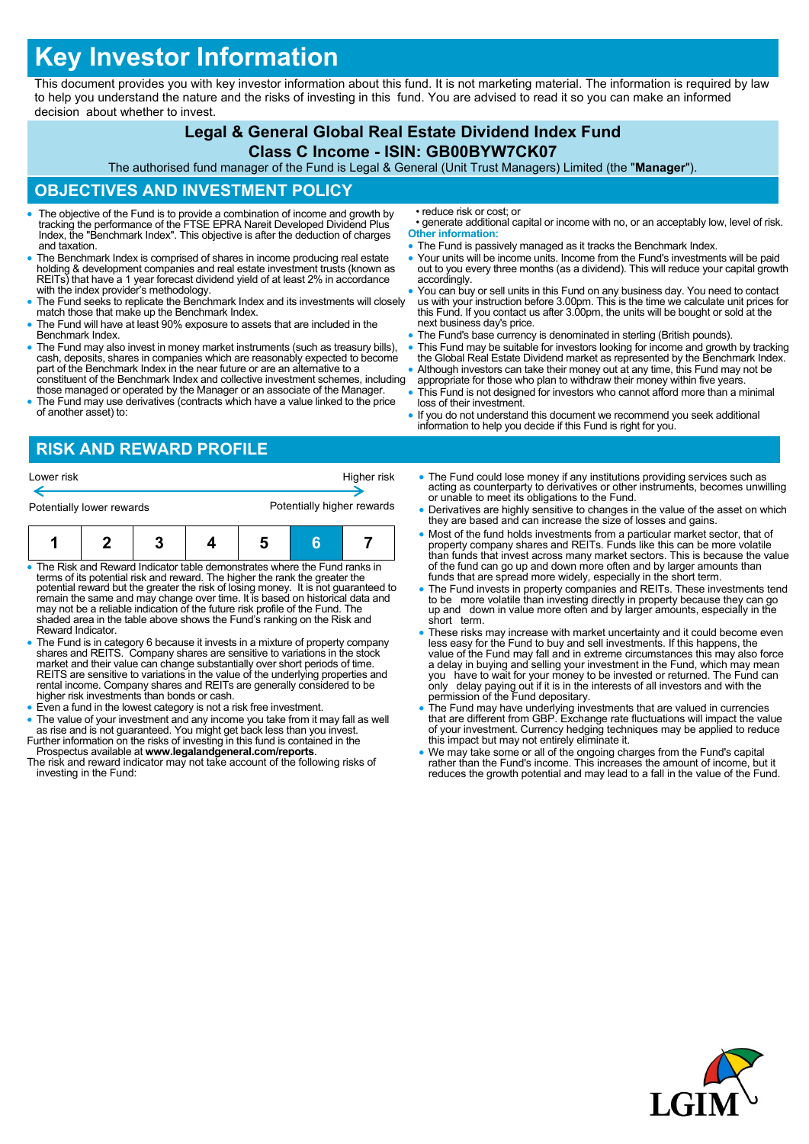## **Key Investor Information**

This document provides you with key investor information about this fund. It is not marketing material. The information is required by law to help you understand the nature and the risks of investing in this fund. You are advised to read it so you can make an informed decision about whether to invest.

## **Legal & General Global Real Estate Dividend Index Fund Class C Income - ISIN: GB00BYW7CK07** The authorised fund manager of the Fund is Legal & General (Unit Trust Managers) Limited (the "**Manager**"). **OBJECTIVES AND INVESTMENT POLICY** The objective of the Fund is to provide a combination of income and growth by tracking the performance of the FTSE EPRA Nareit Developed Dividend Plus Index, the "Benchmark Index". This objective is after the deduction of charges and taxation. The Benchmark Index is comprised of shares in income producing real estate holding & development companies and real estate investment trusts (known as REITs) that have a 1 year forecast dividend yield of at least 2% in accordance with the index provider's methodology. The Fund seeks to replicate the Benchmark Index and its investments will closely match those that make up the Benchmark Index. The Fund will have at least 90% exposure to assets that are included in the Benchmark Index. The Fund may also invest in money market instruments (such as treasury bills), cash, deposits, shares in companies which are reasonably expected to become part of the Benchmark Index in the near future or are an alternative to a constituent of the Benchmark Index and collective investment schemes, including those managed or operated by the Manager or an associate of the Manager. The Fund may use derivatives (contracts which have a value linked to the price of another asset) to: • reduce risk or cost; or • generate additional capital or income with no, or an acceptably low, level of risk. **Other information:** • The Fund is passively managed as it tracks the Benchmark Index. Your units will be income units. Income from the Fund's investments will be paid out to you every three months (as a dividend). This will reduce your capital growth accordingly. You can buy or sell units in this Fund on any business day. You need to contact us with your instruction before 3.00pm. This is the time we calculate unit prices for this Fund. If you contact us after 3.00pm, the units will be bought or sold at the next business day's price. The Fund's base currency is denominated in sterling (British pounds). This Fund may be suitable for investors looking for income and growth by tracking the Global Real Estate Dividend market as represented by the Benchmark Index. Although investors can take their money out at any time, this Fund may not be appropriate for those who plan to withdraw their money within five years. This Fund is not designed for investors who cannot afford more than a minimal loss of their investment. If you do not understand this document we recommend you seek additional information to help you decide if this Fund is right for you.

## **RISK AND REWARD PROFILE**





- The Risk and Reward Indicator table demonstrates where the Fund ranks in terms of its potential risk and reward. The higher the rank the greater the potential reward but the greater the risk of losing money. It is not guaranteed to remain the same and may change over time. It is based on historical data and may not be a reliable indication of the future risk profile of the Fund. The shaded area in the table above shows the Fund's ranking on the Risk and Reward Indicator.
- The Fund is in category 6 because it invests in a mixture of property company shares and REITS. Company shares are sensitive to variations in the stock market and their value can change substantially over short periods o REITS are sensitive to variations in the value of the underlying properties and rental income. Company shares and REITs are generally considered to be higher risk investments than bonds or cash.
- Even a fund in the lowest category is not a risk free investment.
- The value of your investment and any income you take from it may fall as well
- as rise and is not guaranteed. You might get back less than you invest.<br>Further information on the risks of investing in this fund is contained in the<br>Prospectus available at www.legalandgeneral.com/reports.<br>The risk and r
- investing in the Fund:
- The Fund could lose money if any institutions providing services such as acting as counterparty to derivatives or other instruments, becomes unwilling or unable to meet its obligations to the Fund.
- Derivatives are highly sensitive to changes in the value of the asset on which they are based and can increase the size of losses and gains.
- Most of the fund holds investments from a particular market sector, that of property company shares and REITs. Funds like this can be more volatile than funds that invest across many market sectors. This is because the value of the fund can go up and down more often and by larger amounts than funds that are spread more widely, especially in the short term.
- The Fund invests in property companies and REITs. These investments tend to be more volatile than investing directly in property because they can go up and down in value more often and by larger amounts, especially in the short term.
- These risks may increase with market uncertainty and it could become even less easy for the Fund to buy and sell investments. If this happens, the value of the Fund may fall and in extreme circumstances this may also force<br>a delay in buying and selling your investment in the Fund, which may mean<br>you have to wait for your money to be invested or returned. The Fund c only delay paying out if it is in the interests of all investors and with the permission of the Fund depositary.
- The Fund may have underlying investments that are valued in currencies that are different from GBP. Exchange rate fluctuations will impact the value of your investment. Currency hedging techniques may be applied to reduce this impact but may not entirely eliminate it.
- We may take some or all of the ongoing charges from the Fund's capital rather than the Fund's income. This increases the amount of income, but it reduces the growth potential and may lead to a fall in the value of the Fund.